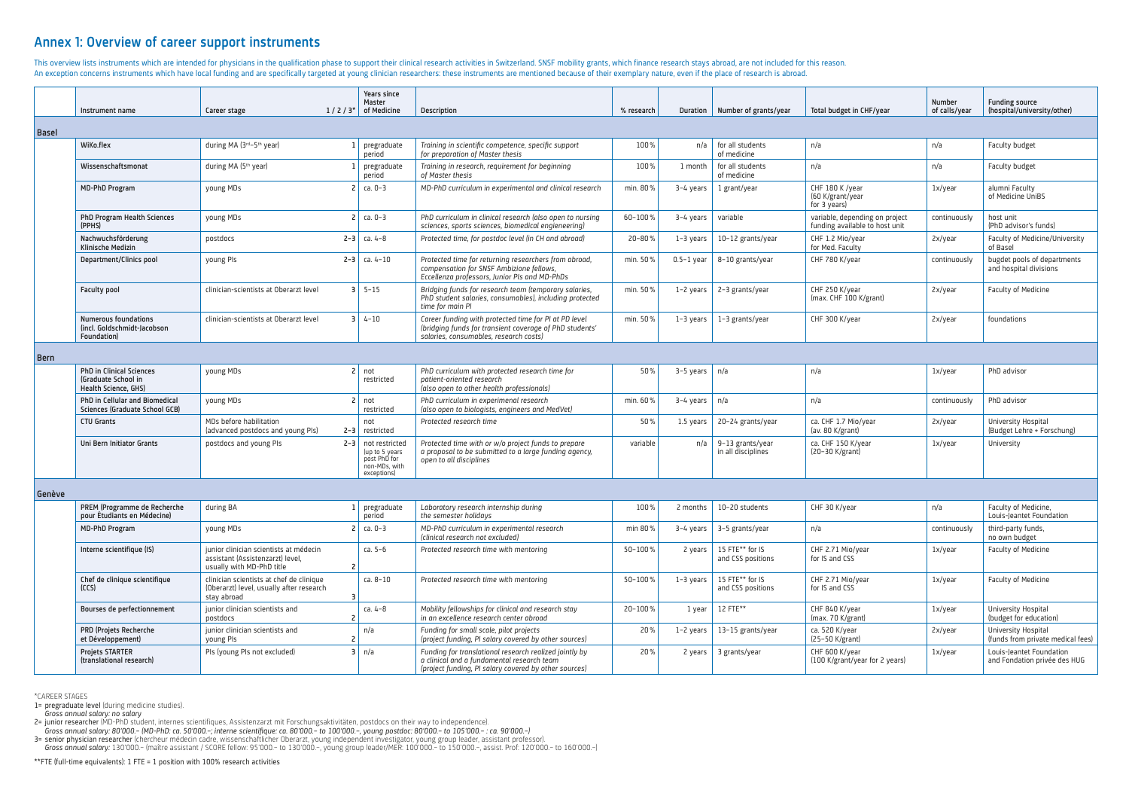## Annex 1: Overview of career support instruments

This overview lists instruments which are intended for physicians in the qualification phase to support their clinical research activities in Switzerland. SNSF mobility grants, which finance research stays abroad, are not An exception concerns instruments which have local funding and are specifically targeted at young clinician researchers: these instruments are mentioned because of their exemplary nature, even if the place of research is a

|              | Instrument name                                                                | Career stage                           | Years since<br>Master<br>$1/2/3*$<br>of Medicine | <b>Description</b>                                                                                                                                         | % research |              | Duration   Number of grants/year | Total budget in CHF/year                                         | <b>Number</b><br>of calls/year | <b>Funding sor</b><br>(hospital/ur |
|--------------|--------------------------------------------------------------------------------|----------------------------------------|--------------------------------------------------|------------------------------------------------------------------------------------------------------------------------------------------------------------|------------|--------------|----------------------------------|------------------------------------------------------------------|--------------------------------|------------------------------------|
| <b>Basel</b> |                                                                                |                                        |                                                  |                                                                                                                                                            |            |              |                                  |                                                                  |                                |                                    |
|              | WiKo.flex                                                                      | during MA (3rd-5th year)               | pregraduate<br>period                            | Training in scientific competence, specific support<br>for preparation of Master thesis                                                                    | 100%       | n/a          | for all students<br>of medicine  | n/a                                                              | n/a                            | Faculty bud                        |
|              | Wissenschaftsmonat                                                             | during MA (5 <sup>th</sup> year)       | pregraduate<br>period                            | Training in research, requirement for beginning<br>of Master thesis                                                                                        | 100%       | 1 month      | for all students<br>of medicine  | n/a                                                              | n/a                            | Faculty bud                        |
|              | <b>MD-PhD Program</b>                                                          | young MDs                              | $ca. 0-3$                                        | MD-PhD curriculum in experimental and clinical research                                                                                                    | min. 80%   | 3-4 years    | 1 grant/year                     | CHF 180 K /vear<br>(60 K/grant/year<br>for 3 years)              | 1x/year                        | alumni Facu<br>of Medicine         |
|              | <b>PhD Program Health Sciences</b><br>(PPHS)                                   | voung MDs                              | $ca. 0-3$                                        | PhD curriculum in clinical research (also open to nursing<br>sciences, sports sciences, biomedical engieneering)                                           | 60-100%    | $3-4$ years  | variable                         | variable, depending on project<br>funding available to host unit | continuously                   | host unit<br>(PhD adviso           |
|              | Nachwuchsförderung<br>Klinische Medizin                                        | postdocs                               | $2 - 3$ ca. 4-8                                  | Protected time, for postdoc level (in CH and abroad)                                                                                                       | 20-80%     | $1-3$ years  | 10-12 grants/year                | CHF 1.2 Mio/year<br>for Med. Faculty                             | 2x/year                        | Faculty of M<br>of Basel           |
|              | Department/Clinics pool                                                        | young PIs                              | $2 - 3$<br>$ ca. 4-10$                           | Protected time for returning researchers from abroad,<br>compensation for SNSF Ambizione fellows,<br>Eccellenza professors, Junior PIs and MD-PhDs         | min. 50%   | $0.5-1$ year | 8-10 grants/year                 | CHF 780 K/year                                                   | continuously                   | bugdet poo<br>and hospita          |
|              | <b>Faculty pool</b>                                                            | clinician-scientists at Oberarzt level | $3 \mid 5 - 15$                                  | Bridging funds for research team (temporary salaries,<br>PhD student salaries, consumables), including protected<br>time for main PI                       | min. 50%   | $1-2$ years  | 2-3 grants/year                  | CHF 250 K/year<br>(max. CHF 100 K/grant)                         | 2x/vear                        | Faculty of M                       |
|              | <b>Numerous foundations</b><br>(incl. Goldschmidt-Jacobson)<br>Foundation)     | clinician-scientists at Oberarzt level | $3 \mid 4-10$                                    | Career funding with protected time for PI at PD level<br>(bridging funds for transient coverage of PhD students'<br>salaries, consumables, research costs) | min. 50%   | $1-3$ years  | 1-3 grants/year                  | CHF 300 K/year                                                   | 2x/year                        | foundations                        |
| <b>Bern</b>  |                                                                                |                                        |                                                  |                                                                                                                                                            |            |              |                                  |                                                                  |                                |                                    |
|              | <b>PhD in Clinical Sciences</b><br>(Graduate School in<br>Haalth Crionco, CUCL | young MDs                              | not<br>restricted                                | PhD curriculum with protected research time for<br>patient-oriented research<br>(also apon to other health professionals)                                  | 50%        | 3-5 years    | n/a                              | n/a                                                              | 1x/year                        | PhD advisor                        |

| research   | <b>Duration</b> | Number of grants/year                         | Total budget in CHF/year                                         | <b>Number</b><br>of calls/year | <b>Funding source</b><br>(hospital/university/other)     |  |
|------------|-----------------|-----------------------------------------------|------------------------------------------------------------------|--------------------------------|----------------------------------------------------------|--|
|            |                 |                                               |                                                                  |                                |                                                          |  |
| 100%       | n/a             | for all students<br>n/a<br>n/a<br>of medicine |                                                                  |                                | Faculty budget                                           |  |
| 100%       | 1 month         | for all students<br>of medicine               | n/a                                                              | n/a                            | Faculty budget                                           |  |
| min. 80%   | $3-4$ years     | 1 grant/year                                  | CHF 180 K /year<br>(60 K/grant/year<br>for 3 years)              | 1x/year                        | alumni Faculty<br>of Medicine UniBS                      |  |
| 60-100%    | 3-4 years       | variable                                      | variable, depending on project<br>funding available to host unit | continuously                   | host unit<br>(PhD advisor's funds)                       |  |
| $20 - 80%$ | $1-3$ years     | 10-12 grants/year                             | CHF 1.2 Mio/year<br>for Med. Faculty                             | 2x/year                        | Faculty of Medicine/University<br>of Basel               |  |
| min. 50%   | $0.5-1$ year    | 8-10 grants/year                              | CHF 780 K/year                                                   | continuously                   | bugdet pools of departments<br>and hospital divisions    |  |
| min. 50%   | $1-2$ years     | 2-3 grants/year                               | CHF 250 K/year<br>(max. CHF 100 K/grant)                         | 2x/year                        | Faculty of Medicine                                      |  |
| min. 50%   | $1-3$ years     | 1-3 grants/year                               | CHF 300 K/year                                                   | 2x/year                        | foundations                                              |  |
|            |                 |                                               |                                                                  |                                |                                                          |  |
| 50%        | $3-5$ years     | n/a                                           | n/a                                                              | 1x/year                        | PhD advisor                                              |  |
| min. 60%   | $3-4$ years     | n/a                                           | n/a                                                              | continuously                   | PhD advisor                                              |  |
| 50%        | 1.5 years       | 20-24 grants/year                             | ca. CHF 1.7 Mio/year<br>(av. 80 K/grant)                         | 2x/year                        | University Hospital<br>(Budget Lehre + Forschung)        |  |
| variable   | n/a             | 9-13 grants/year<br>in all disciplines        | ca. CHF 150 K/year<br>(20-30 K/grant)                            | 1x/year                        | University                                               |  |
|            |                 |                                               |                                                                  |                                |                                                          |  |
| 100%       | 2 months        | 10-20 students                                | CHF 30 K/year                                                    | n/a                            | Faculty of Medicine,<br>Louis-Jeantet Foundation         |  |
| min 80%    | $3-4$ years     | 3-5 grants/year                               | n/a                                                              | continuously                   | third-party funds,<br>no own budget                      |  |
| 50-100%    | 2 years         | 15 FTE** for IS<br>and CSS positions          | CHF 2.71 Mio/year<br>for IS and CSS                              | 1x/year                        | Faculty of Medicine                                      |  |
| 50-100%    | $1-3$ years     | 15 FTE** for IS<br>and CSS positions          | CHF 2.71 Mio/year<br>for IS and CSS                              | 1x/year                        | Faculty of Medicine                                      |  |
| 20-100%    | 1 year          | 12 FTE**                                      | CHF 840 K/year<br>(max. 70 K/grant)                              | 1x/year                        | University Hospital<br>(budget for education)            |  |
| 20%        | 1-2 years       | 13-15 grants/year                             | ca. 520 K/year<br>(25-50 K/grant)                                | 2x/year                        | University Hospital<br>(funds from private medical fees) |  |
| 20%        | 2 years         | 3 grants/year                                 | CHF 600 K/year<br>(100 K/grant/year for 2 years)                 | 1x/year                        | Louis-Jeantet Foundation<br>and Fondation privée des HUG |  |

| luraquate School in<br>Health Science, GHS)                      |                                                              | restricted                                                                             | -batient-oriented research<br>(also open to other health professionals)                                                                 |          |                   |                                            |                                          |              |                             |
|------------------------------------------------------------------|--------------------------------------------------------------|----------------------------------------------------------------------------------------|-----------------------------------------------------------------------------------------------------------------------------------------|----------|-------------------|--------------------------------------------|------------------------------------------|--------------|-----------------------------|
| PhD in Cellular and Biomedical<br>Sciences (Graduate School GCB) | young MDs                                                    | l not<br>restricted                                                                    | PhD curriculum in experimenal research<br>(also open to biologists, engineers and MedVet)                                               | min. 60% | $3-4$ years $n/a$ |                                            | n/a                                      | continuously | PhD advisor                 |
| <b>CTU Grants</b>                                                | MDs before habilitation<br>(advanced postdocs and young PIs) | not<br>$2-3$ restricted                                                                | Protected research time                                                                                                                 | 50%      |                   | 1.5 years 20-24 grants/year                | ca. CHF 1.7 Mio/year<br>(av. 80 K/grant) | 2x/year      | University H<br>(Budget Leh |
| Uni Bern Initiator Grants                                        | postdocs and young PIs                                       | $2-3$ not restricted<br>(up to 5 years<br>post PhD for<br>non-MDs, with<br>exceptions) | Protected time with or w/o project funds to prepare<br>a proposal to be submitted to a large funding agency,<br>open to all disciplines | variable |                   | n/a 9-13 grants/year<br>in all disciplines | ca. CHF 150 K/vear<br>(20–30 K/grant)    | 1x/year      | University                  |

Genè

- 2= junior researcher (MD-PhD student, internes scientifiques, Assistenzarzt mit Forschungsaktivitäten, postdocs on their way to independence).
- *Gross annual salary: 80'000.– (MD-PhD: ca. 50'000.–; interne scientifique: ca. 80'000.– to 100'000.–, young postdoc: 80'000.– to 105'000.– : ca. 90'000.–)*

3= senior physician researcher (chercheur médecin cadre, wissenschaftlicher Oberarzt, young independent investigator, young group leader, assistant professor).

| eve |                                                             |                                                                                                                 |           |                                                                                                                                                               |         |             |                                      |                                                  |              |                                             |
|-----|-------------------------------------------------------------|-----------------------------------------------------------------------------------------------------------------|-----------|---------------------------------------------------------------------------------------------------------------------------------------------------------------|---------|-------------|--------------------------------------|--------------------------------------------------|--------------|---------------------------------------------|
|     | PREM (Programme de Recherche<br>pour Étudiants en Médecine) | during BA<br>pregraduate<br>period                                                                              |           | Laboratory research internship during<br>the semester holidays                                                                                                | 100%    | ? months    | 10-20 students                       | CHF 30 K/year                                    | n/a          | Faculty of Medicine,<br>Louis-Jeantet Found |
|     | MD-PhD Program                                              | young MDs                                                                                                       | ca. 0–3   | MD-PhD curriculum in experimental research<br>(clinical research not excluded)                                                                                | min 80% | $3-4$ years | 3-5 grants/year                      | n/a                                              | continuously | third-party funds,<br>no own budget         |
|     | Interne scientifique (IS)                                   | junior clinician scientists at médecin<br>assistant (Assistenzarzt) level,<br>usually with MD-PhD title         | $ca. 5-6$ | Protected research time with mentoring                                                                                                                        | 50-100% | 2 years     | 15 FTE** for IS<br>and CSS positions | CHF 2.71 Mio/year<br>for IS and CSS              | 1x/year      | Faculty of Medicine                         |
|     | Chef de clinique scientifique<br>(CCS)                      | ca. 8–10<br>clinician scientists at chef de clinique<br>(Oberarzt) level, usually after research<br>stay abroad |           | Protected research time with mentoring                                                                                                                        | 50-100% | $1-3$ years | 15 FTE** for IS<br>and CSS positions | CHF 2.71 Mio/year<br>for IS and CSS              | 1x/year      | Faculty of Medicine                         |
|     | Bourses de perfectionnement                                 | junior clinician scientists and<br>postdocs                                                                     | ca. 4-8   | Mobility fellowships for clinical and research stay<br>in an excellence research center abroad                                                                | 20-100% | l vear      | 12 FTE**                             | CHF 840 K/year<br>(max. 70 K/grant)              | 1x/year      | University Hospital<br>(budget for educatio |
|     | <b>PRD (Projets Recherche</b><br>et Développement)          | junior clinician scientists and<br>young PIs                                                                    | n/a       | Funding for small scale, pilot projects<br>(project funding, PI salary covered by other sources)                                                              | 20%     | $1-2$ years | 13-15 grants/year                    | ca. 520 K/year<br>(25–50 K/grant)                | 2x/year      | University Hospital<br>(funds from private  |
|     | <b>Projets STARTER</b><br>(translational research)          | PIs (young PIs not excluded)                                                                                    | $\ln/a$   | Funding for translational research realized jointly by<br>a clinical and a fundamental research team<br>(project funding, PI salary covered by other sources) | 20%     | 2 years     | <sup>1</sup> 3 grants/year           | CHF 600 K/vear<br>(100 K/grant/year for 2 years) | 1x/year      | Louis-Jeantet Found<br>and Fondation privé  |

\*CAREER STAGES

1= pregraduate level (during medicine studies).

*Gross annual salary: no salary*

*Gross annual salary:* 130'000.– (maître assistant / SCORE fellow: 95'000.– to 130'000.–, young group leader/MER: 100'000.– to 150'000.–, assist. Prof: 120'000.– to 160'000.–)

\*\*FTE (full-time equivalents): 1 FTE = 1 position with 100% research activities